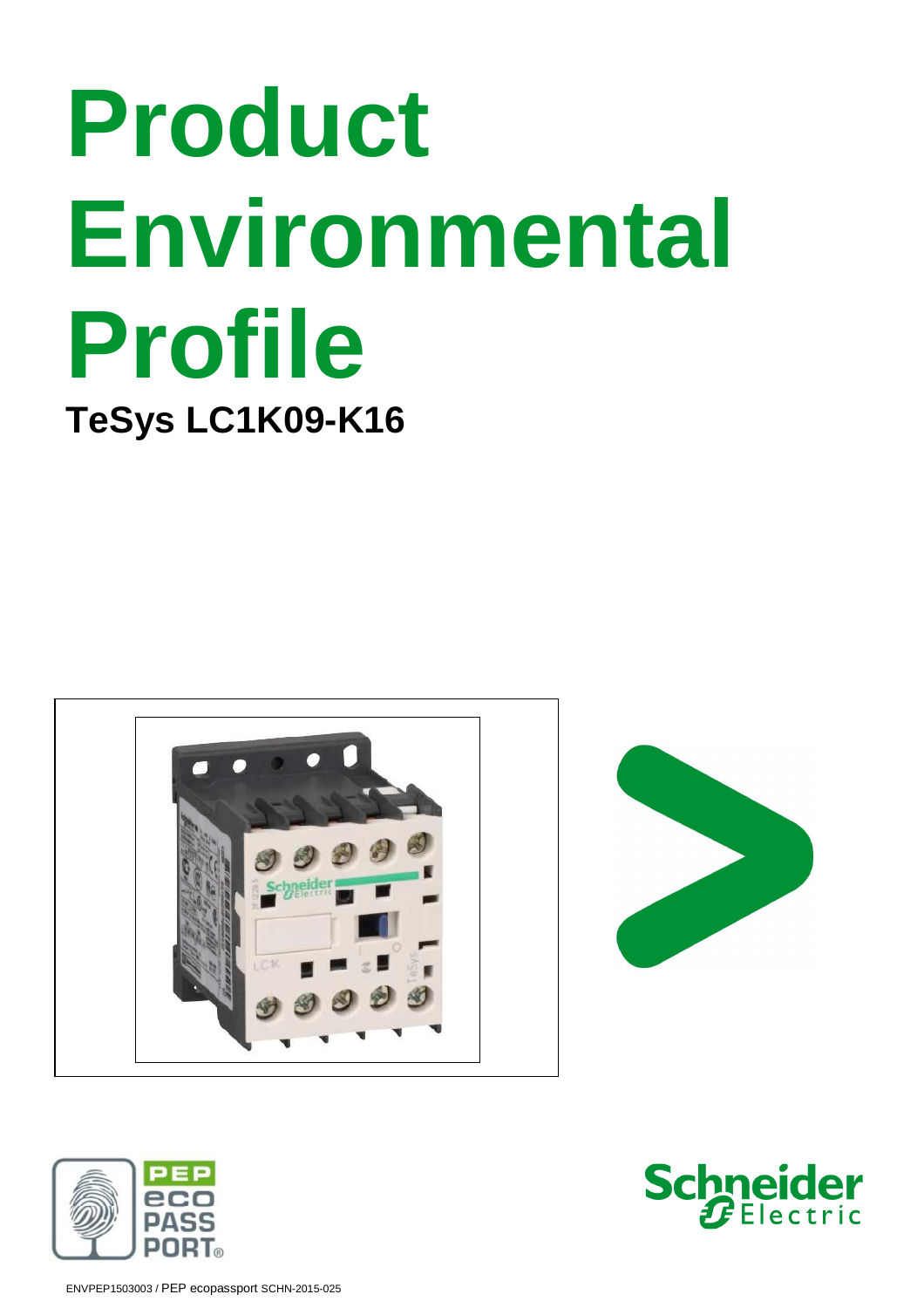# **Product Environmental Profile TeSys LC1K09-K16**







ENVPEP1503003 / PEP ecopassport SCHN-2015-025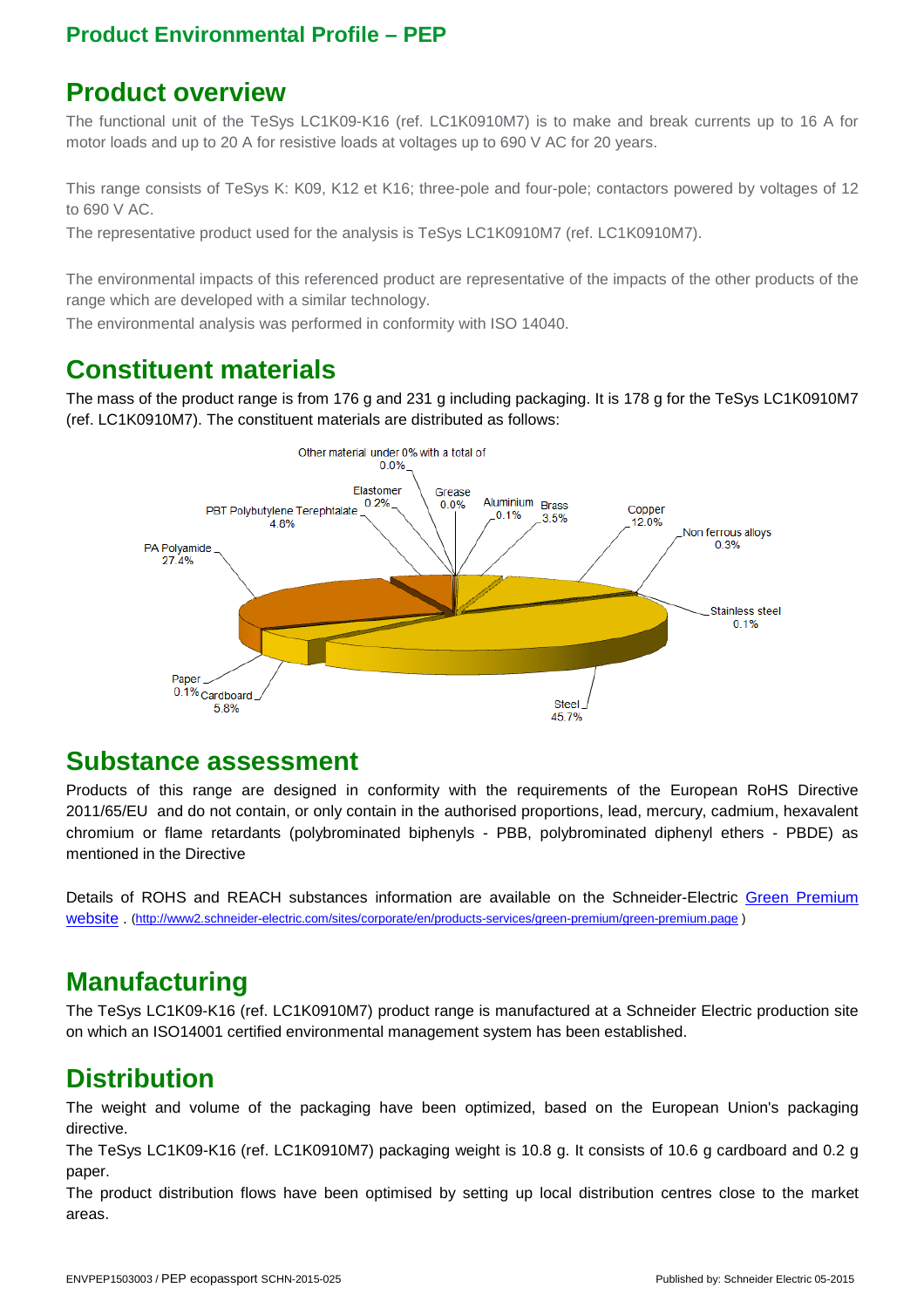### **Product overview**

The functional unit of the TeSys LC1K09-K16 (ref. LC1K0910M7) is to make and break currents up to 16 A for motor loads and up to 20 A for resistive loads at voltages up to 690 V AC for 20 years.

This range consists of TeSys K: K09, K12 et K16; three-pole and four-pole; contactors powered by voltages of 12 to 690 V AC.

The representative product used for the analysis is TeSys LC1K0910M7 (ref. LC1K0910M7).

The environmental impacts of this referenced product are representative of the impacts of the other products of the range which are developed with a similar technology.

The environmental analysis was performed in conformity with ISO 14040.

# **Constituent materials**

The mass of the product range is from 176 g and 231 g including packaging. It is 178 g for the TeSys LC1K0910M7 (ref. LC1K0910M7). The constituent materials are distributed as follows:



#### **Substance assessment**

Products of this range are designed in conformity with the requirements of the European RoHS Directive 2011/65/EU and do not contain, or only contain in the authorised proportions, lead, mercury, cadmium, hexavalent chromium or flame retardants (polybrominated biphenyls - PBB, polybrominated diphenyl ethers - PBDE) as mentioned in the Directive

Details of ROHS and REACH substances information are available on the Schneider-Electric Green Premium website . (http://www2.schneider-electric.com/sites/corporate/en/products-services/green-premium/green-premium.page )

# **Manufacturing**

The TeSys LC1K09-K16 (ref. LC1K0910M7) product range is manufactured at a Schneider Electric production site on which an ISO14001 certified environmental management system has been established.

# **Distribution**

The weight and volume of the packaging have been optimized, based on the European Union's packaging directive.

The TeSys LC1K09-K16 (ref. LC1K0910M7) packaging weight is 10.8 g. It consists of 10.6 g cardboard and 0.2 g paper.

The product distribution flows have been optimised by setting up local distribution centres close to the market areas.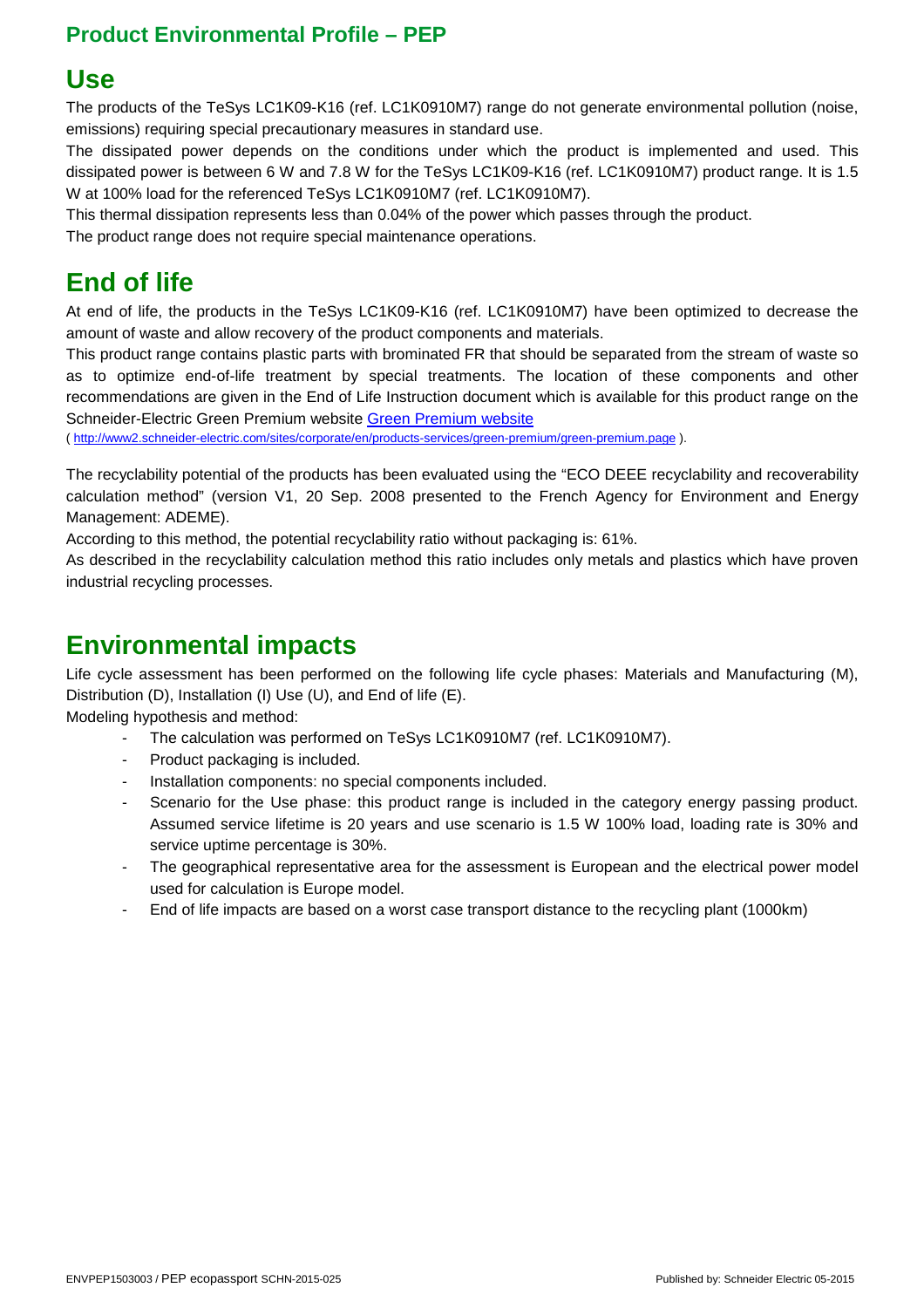## **Use**

The products of the TeSys LC1K09-K16 (ref. LC1K0910M7) range do not generate environmental pollution (noise, emissions) requiring special precautionary measures in standard use.

The dissipated power depends on the conditions under which the product is implemented and used. This dissipated power is between 6 W and 7.8 W for the TeSys LC1K09-K16 (ref. LC1K0910M7) product range. It is 1.5 W at 100% load for the referenced TeSys LC1K0910M7 (ref. LC1K0910M7).

This thermal dissipation represents less than 0.04% of the power which passes through the product.

The product range does not require special maintenance operations.

# **End of life**

At end of life, the products in the TeSys LC1K09-K16 (ref. LC1K0910M7) have been optimized to decrease the amount of waste and allow recovery of the product components and materials.

This product range contains plastic parts with brominated FR that should be separated from the stream of waste so as to optimize end-of-life treatment by special treatments. The location of these components and other recommendations are given in the End of Life Instruction document which is available for this product range on the Schneider-Electric Green Premium website Green Premium website

( http://www2.schneider-electric.com/sites/corporate/en/products-services/green-premium/green-premium.page ).

The recyclability potential of the products has been evaluated using the "ECO DEEE recyclability and recoverability calculation method" (version V1, 20 Sep. 2008 presented to the French Agency for Environment and Energy Management: ADEME).

According to this method, the potential recyclability ratio without packaging is: 61%.

As described in the recyclability calculation method this ratio includes only metals and plastics which have proven industrial recycling processes.

# **Environmental impacts**

Life cycle assessment has been performed on the following life cycle phases: Materials and Manufacturing (M), Distribution (D), Installation (I) Use (U), and End of life (E).

Modeling hypothesis and method:

- The calculation was performed on TeSys LC1K0910M7 (ref. LC1K0910M7).
- Product packaging is included.
- Installation components: no special components included.
- Scenario for the Use phase: this product range is included in the category energy passing product. Assumed service lifetime is 20 years and use scenario is 1.5 W 100% load, loading rate is 30% and service uptime percentage is 30%.
- The geographical representative area for the assessment is European and the electrical power model used for calculation is Europe model.
- End of life impacts are based on a worst case transport distance to the recycling plant (1000km)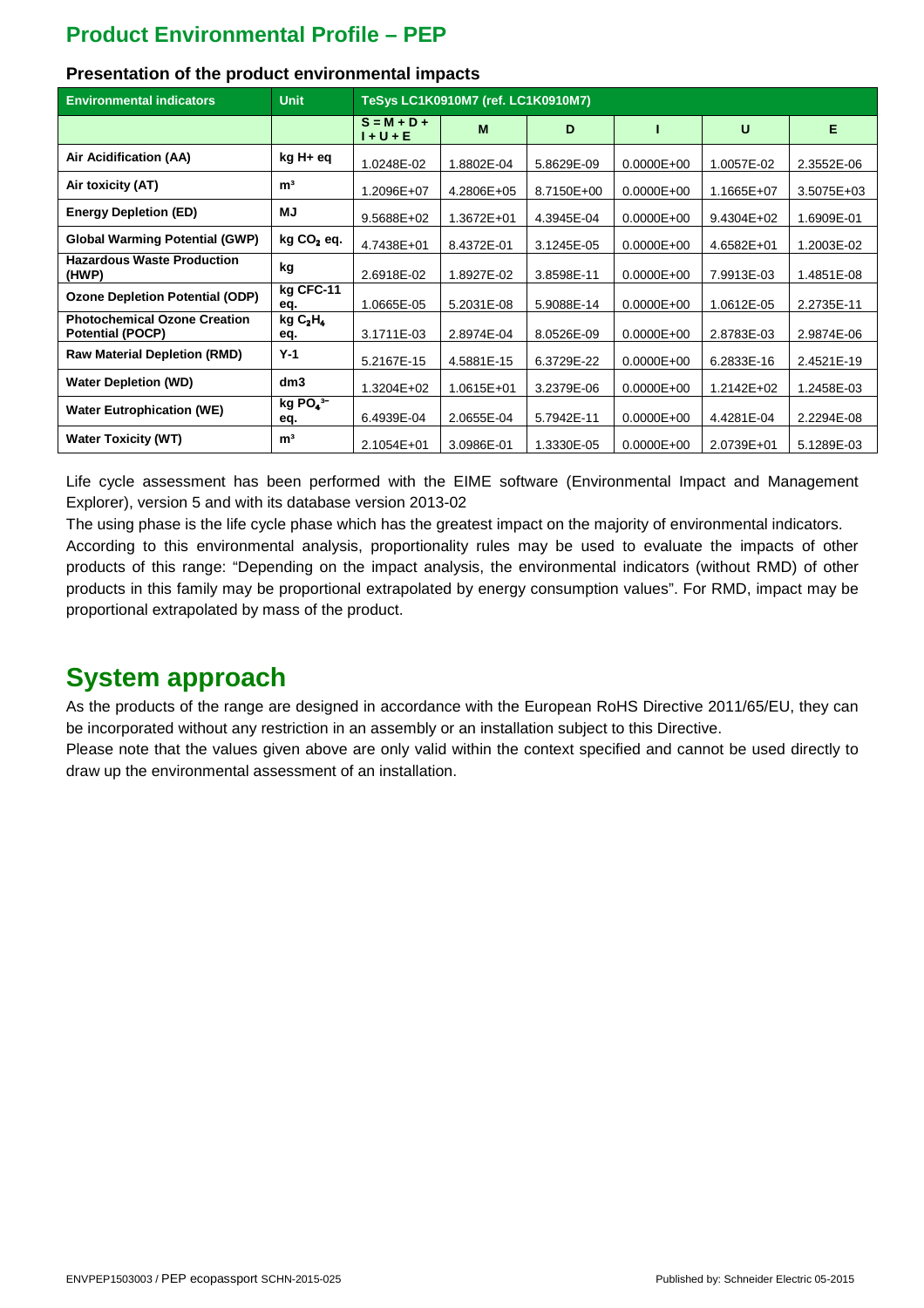| <b>Environmental indicators</b>                                | <b>Unit</b>                            | TeSys LC1K0910M7 (ref. LC1K0910M7) |            |            |                |                |                |  |  |
|----------------------------------------------------------------|----------------------------------------|------------------------------------|------------|------------|----------------|----------------|----------------|--|--|
|                                                                |                                        | $S = M + D +$<br>$1 + U + E$       | M          | D          |                | U              | Е              |  |  |
| Air Acidification (AA)                                         | kg H+ eq                               | 1.0248E-02                         | 1.8802E-04 | 5.8629E-09 | $0.0000E + 00$ | 1.0057E-02     | 2.3552E-06     |  |  |
| Air toxicity (AT)                                              | m <sup>3</sup>                         | 1.2096E+07                         | 4.2806E+05 | 8.7150E+00 | $0.0000E + 00$ | 1.1665E+07     | $3.5075E + 03$ |  |  |
| <b>Energy Depletion (ED)</b>                                   | MJ                                     | $9.5688E + 02$                     | 1.3672E+01 | 4.3945E-04 | $0.0000E + 00$ | $9.4304E + 02$ | 1.6909E-01     |  |  |
| <b>Global Warming Potential (GWP)</b>                          | kg CO <sub>2</sub> eq.                 | 4.7438E+01                         | 8.4372E-01 | 3.1245E-05 | $0.0000E + 00$ | $4.6582E + 01$ | 1.2003E-02     |  |  |
| <b>Hazardous Waste Production</b><br>(HWP)                     | kg                                     | 2.6918E-02                         | 1.8927E-02 | 3.8598E-11 | $0.0000E + 00$ | 7.9913E-03     | 1.4851E-08     |  |  |
| <b>Ozone Depletion Potential (ODP)</b>                         | kg CFC-11<br>eq.                       | 1.0665E-05                         | 5.2031E-08 | 5.9088E-14 | $0.0000E + 00$ | 1.0612E-05     | 2.2735E-11     |  |  |
| <b>Photochemical Ozone Creation</b><br><b>Potential (POCP)</b> | kgC <sub>2</sub> H <sub>4</sub><br>eq. | 3.1711E-03                         | 2.8974E-04 | 8.0526E-09 | $0.0000E + 00$ | 2.8783E-03     | 2.9874E-06     |  |  |
| <b>Raw Material Depletion (RMD)</b>                            | $Y-1$                                  | 5.2167E-15                         | 4.5881E-15 | 6.3729E-22 | $0.0000E + 00$ | 6.2833E-16     | 2.4521E-19     |  |  |
| <b>Water Depletion (WD)</b>                                    | dm3                                    | $1.3204E + 02$                     | 1.0615E+01 | 3.2379E-06 | $0.0000E + 00$ | 1.2142E+02     | 1.2458E-03     |  |  |
| <b>Water Eutrophication (WE)</b>                               | kg $PO4$ <sup>3-</sup><br>eq.          | 6.4939E-04                         | 2.0655E-04 | 5.7942E-11 | $0.0000E + 00$ | 4.4281E-04     | 2.2294E-08     |  |  |
| <b>Water Toxicity (WT)</b>                                     | m <sup>3</sup>                         | $2.1054E + 01$                     | 3.0986E-01 | 1.3330E-05 | $0.0000E + 00$ | 2.0739E+01     | 5.1289E-03     |  |  |

#### **Presentation of the product environmental impacts**

Life cycle assessment has been performed with the EIME software (Environmental Impact and Management Explorer), version 5 and with its database version 2013-02

The using phase is the life cycle phase which has the greatest impact on the majority of environmental indicators. According to this environmental analysis, proportionality rules may be used to evaluate the impacts of other products of this range: "Depending on the impact analysis, the environmental indicators (without RMD) of other products in this family may be proportional extrapolated by energy consumption values". For RMD, impact may be proportional extrapolated by mass of the product.

#### **System approach**

As the products of the range are designed in accordance with the European RoHS Directive 2011/65/EU, they can be incorporated without any restriction in an assembly or an installation subject to this Directive.

Please note that the values given above are only valid within the context specified and cannot be used directly to draw up the environmental assessment of an installation.